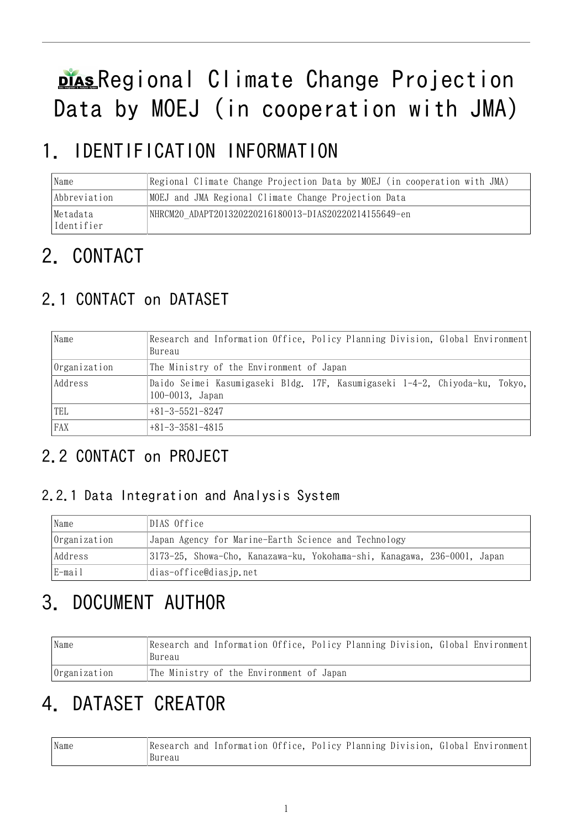# plas Regional Climate Change Projection Data by MOEJ (in cooperation with JMA)

# 1. IDENTIFICATION INFORMATION

| Name                    | Regional Climate Change Projection Data by MOEJ (in cooperation with JMA) |
|-------------------------|---------------------------------------------------------------------------|
| Abbreviation            | MOEJ and JMA Regional Climate Change Projection Data                      |
| Metadata <br>Identifier | NHRCM20 ADAPT201320220216180013-DIAS20220214155649-en                     |

# 2. CONTACT

## 2.1 CONTACT on DATASET

| Name         | Research and Information Office, Policy Planning Division, Global Environment<br>Bureau             |
|--------------|-----------------------------------------------------------------------------------------------------|
| Organization | The Ministry of the Environment of Japan                                                            |
| Address      | Daido Seimei Kasumigaseki Bldg. 17F, Kasumigaseki 1-4-2, Chiyoda-ku, Tokyo,<br>$100 - 0013$ , Japan |
| TEL          | $+81-3-5521-8247$                                                                                   |
| <b>FAX</b>   | $+81-3-3581-4815$                                                                                   |

## 2.2 CONTACT on PROJECT

#### 2.2.1 Data Integration and Analysis System

| Name         | DIAS Office                                                              |
|--------------|--------------------------------------------------------------------------|
| Organization | Japan Agency for Marine-Earth Science and Technology                     |
| Address      | 3173-25, Showa-Cho, Kanazawa-ku, Yokohama-shi, Kanagawa, 236-0001, Japan |
| E-mail       | dias-office@diasjp.net                                                   |

# 3. DOCUMENT AUTHOR

| Name         | Research and Information Office, Policy Planning Division, Global Environment<br>Bureau |
|--------------|-----------------------------------------------------------------------------------------|
| Organization | The Ministry of the Environment of Japan                                                |

# 4. DATASET CREATOR

| Name | Research and Information Office, Policy Planning Division, Global Environment |  |  |  |  |
|------|-------------------------------------------------------------------------------|--|--|--|--|
|      | Bureau                                                                        |  |  |  |  |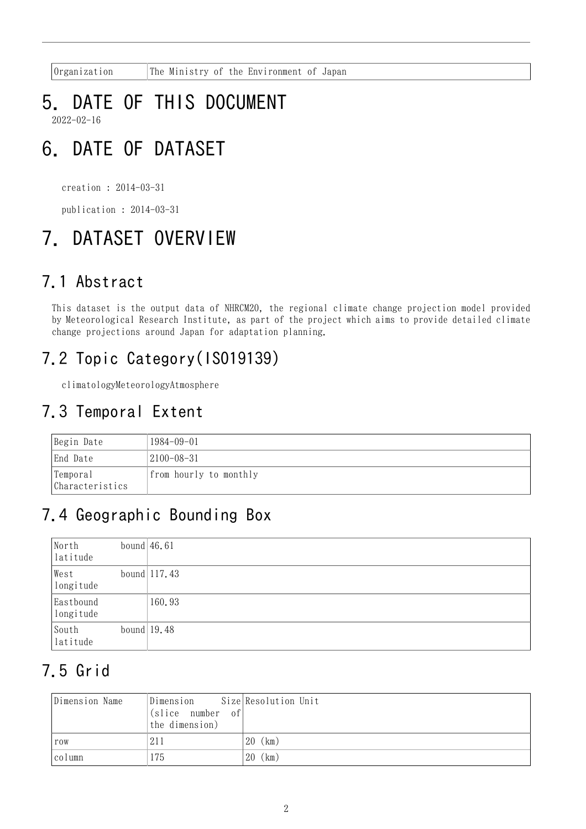Organization The Ministry of the Environment of Japan

#### 5. DATE OF THIS DOCUMENT 2022-02-16

# 6. DATE OF DATASET

creation : 2014-03-31

publication : 2014-03-31

# 7. DATASET OVERVIEW

### 7.1 Abstract

This dataset is the output data of NHRCM20, the regional climate change projection model provided by Meteorological Research Institute, as part of the project which aims to provide detailed climate change projections around Japan for adaptation planning.

## 7.2 Topic Category(ISO19139)

climatologyMeteorologyAtmosphere

### 7.3 Temporal Extent

| Begin Date                  | 1984-09-01             |
|-----------------------------|------------------------|
| End Date                    | $ 2100-08-31$          |
| Temporal<br>Characteristics | from hourly to monthly |

### 7.4 Geographic Bounding Box

| North<br>latitude      | bound $46.61$ |                 |
|------------------------|---------------|-----------------|
| West<br>longitude      |               | bound $ 117.43$ |
| Eastbound<br>longitude |               | 160.93          |
| South<br>latitude      |               | bound $19.48$   |

## 7.5 Grid

| Dimension Name | Dimension<br>(slice number of)<br>the dimension) | Size Resolution Unit |
|----------------|--------------------------------------------------|----------------------|
| row            | 211                                              | (km)<br>20           |
| column         | 175                                              | (km)<br>20           |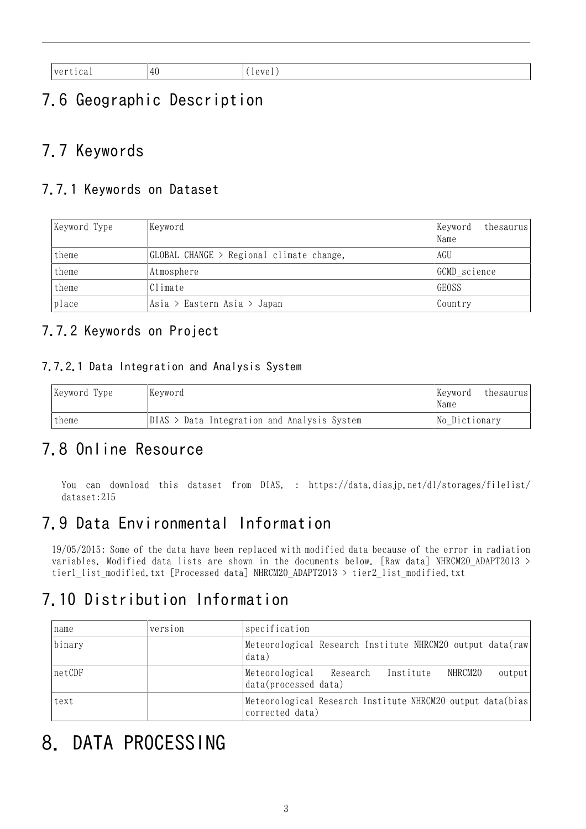| the contract of the contract of the contract of | $\prime$<br>$\perp$<br>ュ<br>and the state of the |  |
|-------------------------------------------------|--------------------------------------------------|--|

## 7.6 Geographic Description

### 7.7 Keywords

#### 7.7.1 Keywords on Dataset

| Keyword Type | Keyword                                  | thesaurus<br>Keyword<br>Name |
|--------------|------------------------------------------|------------------------------|
| theme        | GLOBAL CHANGE > Regional climate change, | AGU                          |
| theme        | Atmosphere                               | GCMD science                 |
| theme        | Climate                                  | GEOSS                        |
| place        | Asia > Eastern Asia > Japan              | Country                      |

#### 7.7.2 Keywords on Project

#### 7.7.2.1 Data Integration and Analysis System

| Keyword Type | Kevword                                       | Keyword<br>thesaurus<br>Name |
|--------------|-----------------------------------------------|------------------------------|
| theme        | $DIAS$ > Data Integration and Analysis System | No Dictionary                |

#### 7.8 Online Resource

You can download this dataset from DIAS. : [https://data.diasjp.net/dl/storages/filelist/](https://data.diasjp.net/dl/storages/filelist/dataset:215) [dataset:215](https://data.diasjp.net/dl/storages/filelist/dataset:215)

### 7.9 Data Environmental Information

19/05/2015: Some of the data have been replaced with modified data because of the error in radiation variables. Modified data lists are shown in the documents below. [Raw data] NHRCM20\_ADAPT2013 > tier1\_list\_modified.txt [Processed data] NHRCM20\_ADAPT2013 > tier2\_list\_modified.txt

### 7.10 Distribution Information

| name   | version | specification                                                                  |  |         |        |
|--------|---------|--------------------------------------------------------------------------------|--|---------|--------|
| binary |         | Meteorological Research Institute NHRCM20 output data(raw<br>data)             |  |         |        |
| netCDF |         | Meteorological Research Institute<br>data(processed data)                      |  | NHRCM20 | output |
| text   |         | Meteorological Research Institute NHRCM20 output data(bias)<br>corrected data) |  |         |        |

# 8. DATA PROCESSING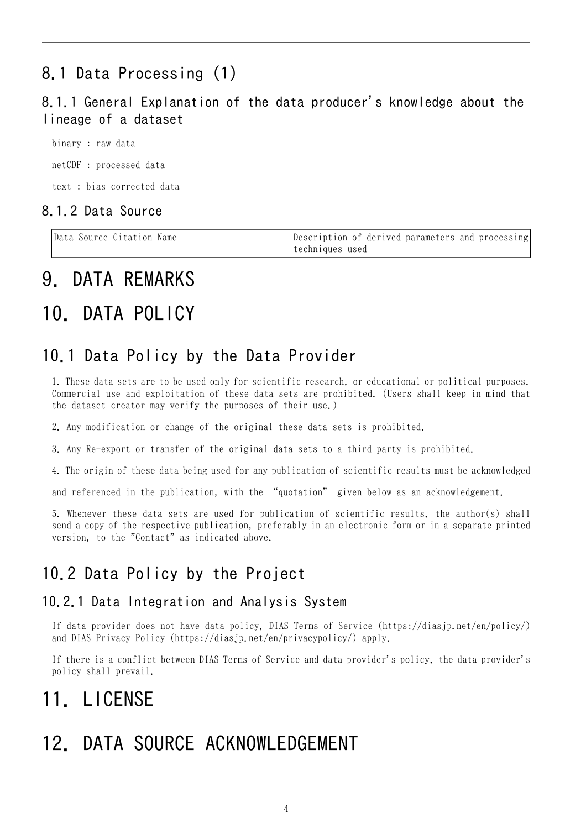## 8.1 Data Processing (1)

#### 8.1.1 General Explanation of the data producer's knowledge about the lineage of a dataset

binary : raw data netCDF : processed data text : bias corrected data

#### 8.1.2 Data Source

| Data Source Citation Name | Description of derived parameters and processing |
|---------------------------|--------------------------------------------------|
|                           | ltechniques used                                 |

## 9. DATA REMARKS

# 10. DATA POLICY

#### 10.1 Data Policy by the Data Provider

1. These data sets are to be used only for scientific research, or educational or political purposes. Commercial use and exploitation of these data sets are prohibited. (Users shall keep in mind that the dataset creator may verify the purposes of their use.)

2. Any modification or change of the original these data sets is prohibited.

3. Any Re-export or transfer of the original data sets to a third party is prohibited.

4. The origin of these data being used for any publication of scientific results must be acknowledged

and referenced in the publication, with the "quotation" given below as an acknowledgement.

5. Whenever these data sets are used for publication of scientific results, the author(s) shall send a copy of the respective publication, preferably in an electronic form or in a separate printed version, to the "Contact" as indicated above.

### 10.2 Data Policy by the Project

#### 10.2.1 Data Integration and Analysis System

If data provider does not have data policy, DIAS Terms of Service (https://diasjp.net/en/policy/) and DIAS Privacy Policy (https://diasjp.net/en/privacypolicy/) apply.

If there is a conflict between DIAS Terms of Service and data provider's policy, the data provider's policy shall prevail.

# 11. LICENSE

# 12. DATA SOURCE ACKNOWLEDGEMENT